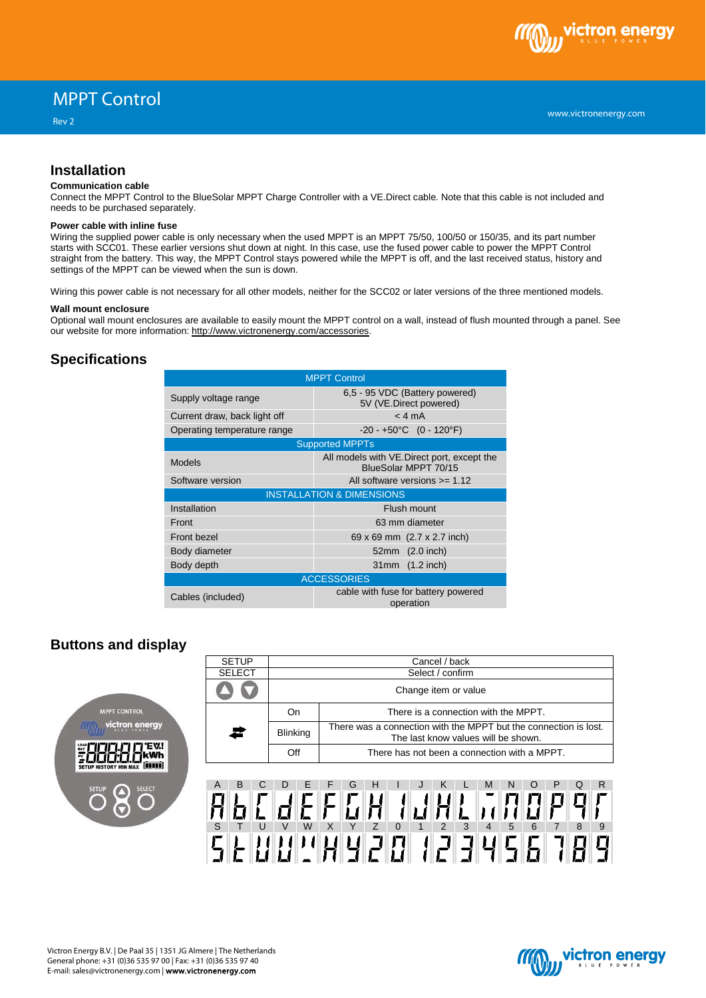

## **Installation**

#### **Communication cable**

Connect the MPPT Control to the BlueSolar MPPT Charge Controller with a VE.Direct cable. Note that this cable is not included and needs to be purchased separately.

#### **Power cable with inline fuse**

Wiring the supplied power cable is only necessary when the used MPPT is an MPPT 75/50, 100/50 or 150/35, and its part number starts with SCC01. These earlier versions shut down at night. In this case, use the fused power cable to power the MPPT Control straight from the battery. This way, the MPPT Control stays powered while the MPPT is off, and the last received status, history and settings of the MPPT can be viewed when the sun is down.

Wiring this power cable is not necessary for all other models, neither for the SCC02 or later versions of the three mentioned models.

#### **Wall mount enclosure**

Optional wall mount enclosures are available to easily mount the MPPT control on a wall, instead of flush mounted through a panel. See our website for more information[: http://www.victronenergy.com/accessories.](http://www.victronenergy.com/accessories)

#### **Specifications**

| <b>MPPT Control</b>                  |                                                                     |  |  |  |
|--------------------------------------|---------------------------------------------------------------------|--|--|--|
| Supply voltage range                 | 6,5 - 95 VDC (Battery powered)<br>5V (VE.Direct powered)            |  |  |  |
| Current draw, back light off         | < 4 mA                                                              |  |  |  |
| Operating temperature range          | $-20 - +50^{\circ}C$ (0 - 120°F)                                    |  |  |  |
| <b>Supported MPPTs</b>               |                                                                     |  |  |  |
| <b>Models</b>                        | All models with VE. Direct port, except the<br>BlueSolar MPPT 70/15 |  |  |  |
| Software version                     | All software versions $\ge$ 1.12                                    |  |  |  |
| <b>INSTALLATION &amp; DIMENSIONS</b> |                                                                     |  |  |  |
| Installation                         | Flush mount                                                         |  |  |  |
| Front                                | 63 mm diameter                                                      |  |  |  |
| Front bezel                          | 69 x 69 mm (2.7 x 2.7 inch)                                         |  |  |  |
| Body diameter                        | 52mm (2.0 inch)                                                     |  |  |  |
| Body depth                           | 31mm (1.2 inch)                                                     |  |  |  |
| <b>ACCESSORIES</b>                   |                                                                     |  |  |  |
| Cables (included)                    | cable with fuse for battery powered<br>operation                    |  |  |  |

#### **Buttons and display**



| <b>SETUP</b>  | Cancel / back        |                                                                                                         |  |
|---------------|----------------------|---------------------------------------------------------------------------------------------------------|--|
| <b>SELECT</b> | Select / confirm     |                                                                                                         |  |
|               | Change item or value |                                                                                                         |  |
|               | On                   | There is a connection with the MPPT.                                                                    |  |
| z             | <b>Blinking</b>      | There was a connection with the MPPT but the connection is lost.<br>The last know values will be shown. |  |
|               | Off                  | There has not been a connection with a MPPT.                                                            |  |
|               |                      |                                                                                                         |  |

A B C D E F G H I J K L M N O P Q R S T U V W X Y Z 0 1 2 3 4 5 6 7 8 9

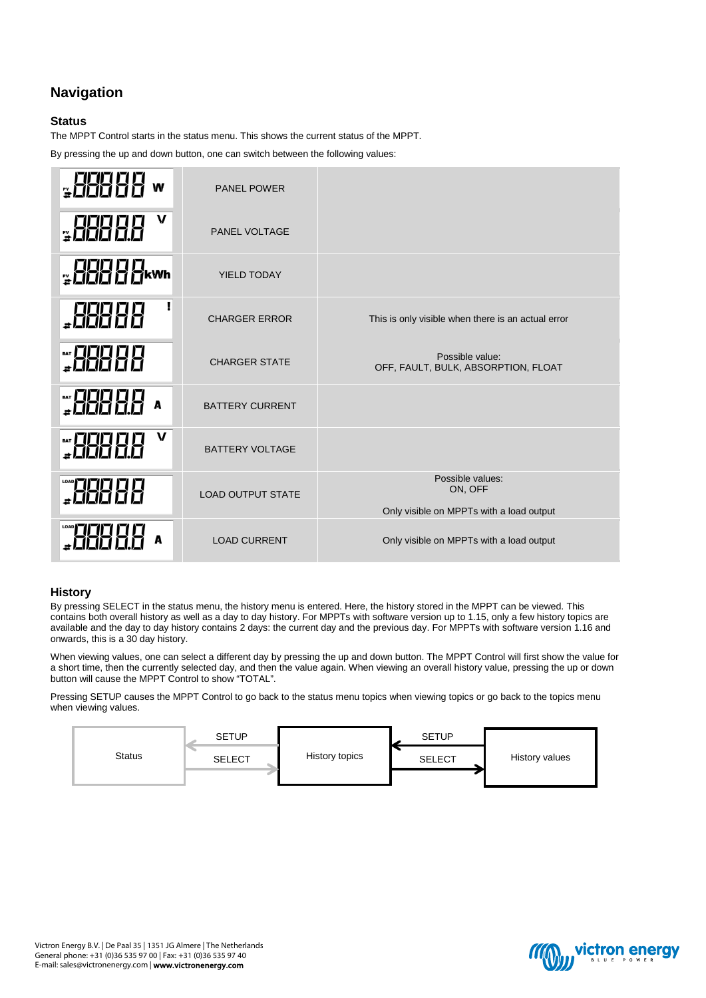# **Navigation**

## **Status**

The MPPT Control starts in the status menu. This shows the current status of the MPPT.

By pressing the up and down button, one can switch between the following values:

| 가가내내고                                  | <b>PANEL POWER</b>       |                                                                         |
|----------------------------------------|--------------------------|-------------------------------------------------------------------------|
| v<br><b>RRAGE</b>                      | PANEL VOLTAGE            |                                                                         |
| <b>ACCO CANNA</b>                      | <b>YIELD TODAY</b>       |                                                                         |
| <b>RB885</b>                           | <b>CHARGER ERROR</b>     | This is only visible when there is an actual error                      |
| <b>REBUA</b>                           | <b>CHARGER STATE</b>     | Possible value:<br>OFF, FAULT, BULK, ABSORPTION, FLOAT                  |
| <b>SHARE</b><br><b>BATTERY CURRENT</b> |                          |                                                                         |
| v<br><b>SECONDARY</b>                  | <b>BATTERY VOLTAGE</b>   |                                                                         |
|                                        | <b>LOAD OUTPUT STATE</b> | Possible values:<br>ON, OFF<br>Only visible on MPPTs with a load output |
|                                        | <b>LOAD CURRENT</b>      | Only visible on MPPTs with a load output                                |

## **History**

By pressing SELECT in the status menu, the history menu is entered. Here, the history stored in the MPPT can be viewed. This contains both overall history as well as a day to day history. For MPPTs with software version up to 1.15, only a few history topics are available and the day to day history contains 2 days: the current day and the previous day. For MPPTs with software version 1.16 and onwards, this is a 30 day history.

When viewing values, one can select a different day by pressing the up and down button. The MPPT Control will first show the value for a short time, then the currently selected day, and then the value again. When viewing an overall history value, pressing the up or down button will cause the MPPT Control to show "TOTAL".

Pressing SETUP causes the MPPT Control to go back to the status menu topics when viewing topics or go back to the topics menu when viewing values.



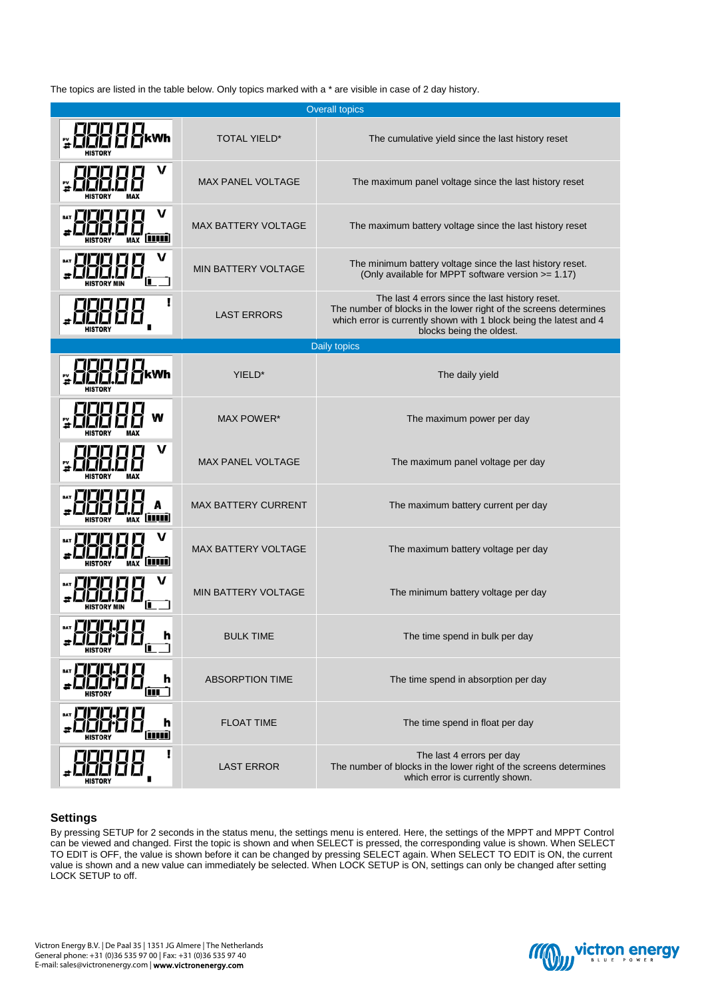The topics are listed in the table below. Only topics marked with a \* are visible in case of 2 day history.

| <b>Overall topics</b>               |                            |                                                                                                                                                                                                                        |  |  |
|-------------------------------------|----------------------------|------------------------------------------------------------------------------------------------------------------------------------------------------------------------------------------------------------------------|--|--|
|                                     | <b>TOTAL YIELD*</b>        | The cumulative yield since the last history reset                                                                                                                                                                      |  |  |
| v                                   | <b>MAX PANEL VOLTAGE</b>   | The maximum panel voltage since the last history reset                                                                                                                                                                 |  |  |
| v<br><b>THEFT</b><br>MAX            | <b>MAX BATTERY VOLTAGE</b> | The maximum battery voltage since the last history reset                                                                                                                                                               |  |  |
|                                     | <b>MIN BATTERY VOLTAGE</b> | The minimum battery voltage since the last history reset.<br>(Only available for MPPT software version >= 1.17)                                                                                                        |  |  |
| <b>HISTOR</b>                       | <b>LAST ERRORS</b>         | The last 4 errors since the last history reset.<br>The number of blocks in the lower right of the screens determines<br>which error is currently shown with 1 block being the latest and 4<br>blocks being the oldest. |  |  |
|                                     |                            | Daily topics                                                                                                                                                                                                           |  |  |
|                                     | YIELD*                     | The daily yield                                                                                                                                                                                                        |  |  |
| MAX                                 | MAX POWER*                 | The maximum power per day                                                                                                                                                                                              |  |  |
| v<br><b>HISTORY</b><br>MAX          | <b>MAX PANEL VOLTAGE</b>   | The maximum panel voltage per day                                                                                                                                                                                      |  |  |
|                                     | <b>MAX BATTERY CURRENT</b> | The maximum battery current per day                                                                                                                                                                                    |  |  |
| MAX BATTERY VOLTAGE<br><b>HIIII</b> |                            | The maximum battery voltage per day                                                                                                                                                                                    |  |  |
| <b>HISTORY MIN</b>                  | <b>MIN BATTERY VOLTAGE</b> | The minimum battery voltage per day                                                                                                                                                                                    |  |  |
| <b>*** CICICI.CI</b>                | <b>BULK TIME</b>           | The time spend in bulk per day                                                                                                                                                                                         |  |  |
|                                     | <b>ABSORPTION TIME</b>     | The time spend in absorption per day                                                                                                                                                                                   |  |  |
| <b>FLOAT TIME</b><br>n<br>प्पा)     |                            | The time spend in float per day                                                                                                                                                                                        |  |  |
|                                     | <b>LAST ERROR</b>          | The last 4 errors per day<br>The number of blocks in the lower right of the screens determines<br>which error is currently shown.                                                                                      |  |  |

#### **Settings**

By pressing SETUP for 2 seconds in the status menu, the settings menu is entered. Here, the settings of the MPPT and MPPT Control can be viewed and changed. First the topic is shown and when SELECT is pressed, the corresponding value is shown. When SELECT TO EDIT is OFF, the value is shown before it can be changed by pressing SELECT again. When SELECT TO EDIT is ON, the current value is shown and a new value can immediately be selected. When LOCK SETUP is ON, settings can only be changed after setting LOCK SETUP to off.